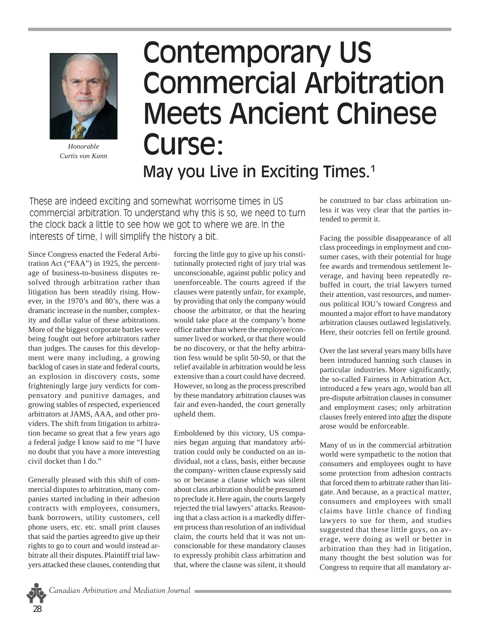

*Honorable Curtis von Kann*

## Contemporary US Commercial Arbitration Meets Ancient Chinese Curse: May you Live in Exciting Times.<sup>1</sup>

These are indeed exciting and somewhat worrisome times in US commercial arbitration. To understand why this is so, we need to turn the clock back a little to see how we got to where we are. In the interests of time, I will simplify the history a bit.

Since Congress enacted the Federal Arbitration Act ("FAA") in 1925, the percentage of business-to-business disputes resolved through arbitration rather than litigation has been steadily rising. However, in the 1970's and 80's, there was a dramatic increase in the number, complexity and dollar value of these arbitrations. More of the biggest corporate battles were being fought out before arbitrators rather than judges. The causes for this development were many including, a growing backlog of cases in state and federal courts, an explosion in discovery costs, some frighteningly large jury verdicts for compensatory and punitive damages, and growing stables of respected, experienced arbitrators at JAMS, AAA, and other providers.The shift from litigation to arbitration became so great that a few years ago a federal judge I know said to me "I have no doubt that you have a more interesting civil docket than I do."

Generally pleased with this shift of commercial disputes to arbitration, many companies started including in their adhesion contracts with employees, consumers, bank borrowers, utility customers, cell phone users, etc. etc. small print clauses that said the parties agreedto give up their rights to go to court and would instead arbitrate all their disputes.Plaintiff trial lawyers attacked these clauses, contending that

forcing the little guy to give up his constitutionally protected right of jury trial was unconscionable, against public policy and unenforceable. The courts agreed if the clauses were patently unfair, for example, by providing that only the company would choose the arbitrator, or that the hearing would take place at the company's home office rather than where the employee/consumer lived or worked, or that there would be no discovery, or that the hefty arbitration fess would be split 50-50, or that the relief available in arbitration would be less extensive than a court could have decreed. However, so long as the process prescribed by these mandatory arbitration clauses was fair and even-handed, the court generally upheld them.

Emboldened by this victory, US companies began arguing that mandatory arbitration could only be conducted on an individual, not a class, basis, either because the company- written clause expressly said so or because a clause which was silent about class arbitration should be presumed to preclude it.Here again, the courts largely rejected the trial lawyers' attacks.Reasoning that a class action is a markedly different process than resolution of an individual claim, the courts held that it was not unconscionable for these mandatory clauses to expressly prohibit class arbitration and that, where the clause was silent, it should be construed to bar class arbitration unless it was very clear that the parties intended to permit it.

Facing the possible disappearance of all class proceedings in employment and consumer cases, with their potential for huge fee awards and tremendous settlement leverage, and having been repeatedly rebuffed in court, the trial lawyers turned their attention, vast resources, and numerous political IOU's toward Congress and mounted a major effort to have mandatory arbitration clauses outlawed legislatively. Here, their outcries fell on fertile ground.

Over the last several years many bills have been introduced banning such clauses in particular industries. More significantly, the so-called Fairness in Arbitration Act, introduced a few years ago, would ban all pre-dispute arbitration clauses in consumer and employment cases; only arbitration clauses freely entered into after the dispute arose would be enforceable.

Many of us in the commercial arbitration world were sympathetic to the notion that consumers and employees ought to have some protection from adhesion contracts that forced them to arbitrate rather than litigate. And because, as a practical matter, consumers and employees with small claims have little chance of finding lawyers to sue for them, and studies suggested that these little guys, on average, were doing as well or better in arbitration than they had in litigation, many thought the best solution was for Congress to require that all mandatory ar-

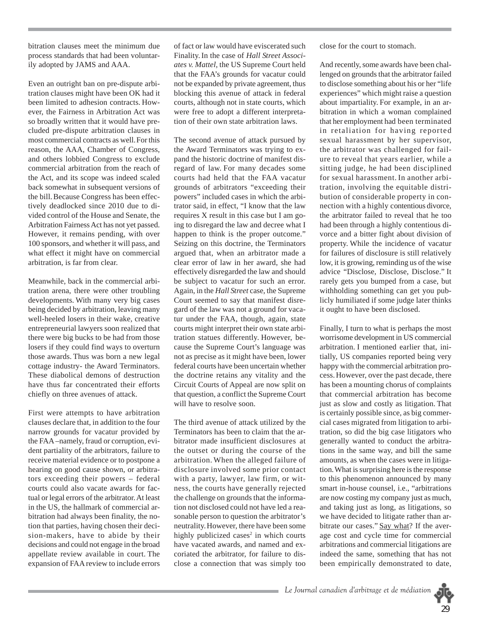bitration clauses meet the minimum due process standards that had been voluntarily adopted by JAMS and AAA.

Even an outright ban on pre-dispute arbitration clauses might have been OK had it been limited to adhesion contracts. However, the Fairness in Arbitration Act was so broadly written that it would have precluded pre-dispute arbitration clauses in most commercial contracts as well.For this reason, the AAA, Chamber of Congress, and others lobbied Congress to exclude commercial arbitration from the reach of the Act, and its scope was indeed scaled back somewhat in subsequent versions of the bill.Because Congress has been effectively deadlocked since 2010 due to divided control of the House and Senate, the Arbitration Fairness Act has not yet passed. However, it remains pending, with over 100 sponsors, and whether it will pass, and what effect it might have on commercial arbitration, is far from clear.

Meanwhile, back in the commercial arbitration arena, there were other troubling developments. With many very big cases being decided by arbitration, leaving many well-heeled losers in their wake, creative entrepreneurial lawyers soon realized that there were big bucks to be had from those losers if they could find ways to overturn those awards. Thus was born a new legal cottage industry- the Award Terminators. These diabolical demons of destruction have thus far concentrated their efforts chiefly on three avenues of attack.

First were attempts to have arbitration clauses declare that, in addition to the four narrow grounds for vacatur provided by the FAA –namely, fraud or corruption, evident partiality of the arbitrators, failure to receive material evidence or to postpone a hearing on good cause shown, or arbitrators exceeding their powers – federal courts could also vacate awards for factual or legal errors of the arbitrator.At least in the US, the hallmark of commercial arbitration had always been finality, the notion that parties, having chosen their decision-makers, have to abide by their decisions and could not engage in the broad appellate review available in court. The expansion of FAA review to include errors

of fact or law would have eviscerated such Finality.In the case of *Hall Street Associates v. Mattel*, the US Supreme Court held that the FAA's grounds for vacatur could not be expanded by private agreement, thus blocking this avenue of attack in federal courts, although not in state courts, which were free to adopt a different interpretation of their own state arbitration laws.

The second avenue of attack pursued by the Award Terminators was trying to expand the historic doctrine of manifest disregard of law. For many decades some courts had held that the FAA vacatur grounds of arbitrators "exceeding their powers" included cases in which the arbitrator said, in effect, "I know that the law requires X result in this case but I am going to disregard the law and decree what I happen to think is the proper outcome." Seizing on this doctrine, the Terminators argued that, when an arbitrator made a clear error of law in her award, she had effectively disregarded the law and should be subject to vacatur for such an error. Again, in the *Hall Street* case, the Supreme Court seemed to say that manifest disregard of the law was not a ground for vacatur under the FAA, though, again, state courts might interpret their own state arbitration statues differently. However, because the Supreme Court's language was not as precise as it might have been, lower federal courts have been uncertain whether the doctrine retains any vitality and the Circuit Courts of Appeal are now split on that question, a conflict the Supreme Court will have to resolve soon.

The third avenue of attack utilized by the Terminators has been to claim that the arbitrator made insufficient disclosures at the outset or during the course of the arbitration. When the alleged failure of disclosure involved some prior contact with a party, lawyer, law firm, or witness, the courts have generally rejected the challenge on grounds that the information not disclosed could not have led a reasonable person to question the arbitrator's neutrality.However, there have been some highly publicized cases<sup>2</sup> in which courts have vacated awards, and named and excoriated the arbitrator, for failure to disclose a connection that was simply too close for the court to stomach.

And recently, some awards have been challenged on grounds that the arbitrator failed to disclose something about his or her "life experiences" which might raise a question about impartiality. For example, in an arbitration in which a woman complained that her employment had been terminated in retaliation for having reported sexual harassment by her supervisor, the arbitrator was challenged for failure to reveal that years earlier, while a sitting judge, he had been disciplined for sexual harassment. In another arbitration, involving the equitable distribution of considerable property in connection with a highly contentious divorce, the arbitrator failed to reveal that he too had been through a highly contentious divorce and a bitter fight about division of property. While the incidence of vacatur for failures of disclosure is still relatively low, it is growing, reminding us of the wise advice "Disclose, Disclose, Disclose." It rarely gets you bumped from a case, but withholding something can get you publicly humiliated if some judge later thinks it ought to have been disclosed.

Finally, I turn to what is perhaps the most worrisome development in US commercial arbitration. I mentioned earlier that, initially, US companies reported being very happy with the commercial arbitration process.However, over the past decade, there has been a mounting chorus of complaints that commercial arbitration has become just as slow and costly as litigation. That is certainly possible since, as big commercial cases migrated from litigation to arbitration, so did the big case litigators who generally wanted to conduct the arbitrations in the same way, and bill the same amounts, as when the cases were in litigation.What is surprising here is the response to this phenomenon announced by many smart in-house counsel, i.e., "arbitrations are now costing my company just as much, and taking just as long, as litigations, so we have decided to litigate rather than arbitrate our cases." Say what? If the average cost and cycle time for commercial arbitrations and commercial litigations are indeed the same, something that has not been empirically demonstrated to date,

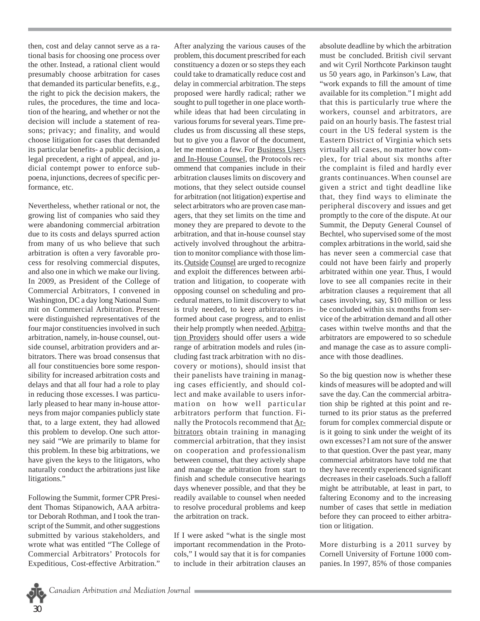then, cost and delay cannot serve as a rational basis for choosing one process over the other. Instead, a rational client would presumably choose arbitration for cases that demanded its particular benefits, e.g., the right to pick the decision makers, the rules, the procedures, the time and location of the hearing, and whether or not the decision will include a statement of reasons; privacy; and finality, and would choose litigation for cases that demanded its particular benefits- a public decision, a legal precedent, a right of appeal, and judicial contempt power to enforce subpoena, injunctions, decrees of specific performance, etc.

Nevertheless, whether rational or not, the growing list of companies who said they were abandoning commercial arbitration due to its costs and delays spurred action from many of us who believe that such arbitration is often a very favorable process for resolving commercial disputes, and also one in which we make our living. In 2009, as President of the College of Commercial Arbitrators, I convened in Washington, DC a day long National Summit on Commercial Arbitration. Present were distinguished representatives of the four major constituencies involved in such arbitration, namely, in-house counsel, outside counsel, arbitration providers and arbitrators. There was broad consensus that all four constituencies bore some responsibility for increased arbitration costs and delays and that all four had a role to play in reducing those excesses.I was particularly pleased to hear many in-house attorneys from major companies publicly state that, to a large extent, they had allowed this problem to develop. One such attorney said "We are primarily to blame for this problem.In these big arbitrations, we have given the keys to the litigators, who naturally conduct the arbitrations just like litigations."

Following the Summit, former CPR President Thomas Stipanowich, AAA arbitrator Deborah Rothman, and I took the transcript of the Summit, and other suggestions submitted by various stakeholders, and wrote what was entitled "The College of Commercial Arbitrators' Protocols for Expeditious, Cost-effective Arbitration."

After analyzing the various causes of the problem, this document prescribed for each constituency a dozen or so steps they each could take to dramatically reduce cost and delay in commercial arbitration.The steps proposed were hardly radical; rather we sought to pull together in one place worthwhile ideas that had been circulating in various forums for several years.Time precludes us from discussing all these steps, but to give you a flavor of the document, let me mention a few. For Business Users and In-House Counsel, the Protocols recommend that companies include in their arbitration clauses limits on discovery and motions, that they select outside counsel for arbitration (not litigation) expertise and select arbitrators who are proven case managers, that they set limits on the time and money they are prepared to devote to the arbitration, and that in-house counsel stay actively involved throughout the arbitration to monitor compliance with those limits. Outside Counsel are urged to recognize and exploit the differences between arbitration and litigation, to cooperate with opposing counsel on scheduling and procedural matters, to limit discovery to what is truly needed, to keep arbitrators informed about case progress, and to enlist their help promptly when needed. Arbitration Providers should offer users a wide range of arbitration models and rules (including fast track arbitration with no discovery or motions), should insist that their panelists have training in managing cases efficiently, and should collect and make available to users information on how well particular arbitrators perform that function. Finally the Protocols recommend that Arbitrators obtain training in managing commercial arbitration, that they insist on cooperation and professionalism between counsel, that they actively shape and manage the arbitration from start to finish and schedule consecutive hearings days whenever possible, and that they be readily available to counsel when needed to resolve procedural problems and keep the arbitration on track.

If I were asked "what is the single most important recommendation in the Protocols," I would say that it is for companies to include in their arbitration clauses an absolute deadline by which the arbitration must be concluded. British civil servant and wit Cyril Northcote Parkinson taught us 50 years ago, in Parkinson's Law, that "work expands to fill the amount of time available for its completion." I might add that this is particularly true where the workers, counsel and arbitrators, are paid on an hourly basis. The fastest trial court in the US federal system is the Eastern District of Virginia which sets virtually all cases, no matter how complex, for trial about six months after the complaint is filed and hardly ever grants continuances. When counsel are given a strict and tight deadline like that, they find ways to eliminate the peripheral discovery and issues and get promptly to the core of the dispute.At our Summit, the Deputy General Counsel of Bechtel, who supervised some of the most complex arbitrations in the world, said she has never seen a commercial case that could not have been fairly and properly arbitrated within one year. Thus, I would love to see all companies recite in their arbitration clauses a requirement that all cases involving, say, \$10 million or less be concluded within six months from service of the arbitration demand and all other cases within twelve months and that the arbitrators are empowered to so schedule and manage the case as to assure compliance with those deadlines.

So the big question now is whether these kinds of measures will be adopted and will save the day.Can the commercial arbitration ship be righted at this point and returned to its prior status as the preferred forum for complex commercial dispute or is it going to sink under the weight of its own excesses? I am not sure of the answer to that question. Over the past year, many commercial arbitrators have told me that they have recently experienced significant decreases in their caseloads.Such a falloff might be attributable, at least in part, to faltering Economy and to the increasing number of cases that settle in mediation before they can proceed to either arbitration or litigation.

More disturbing is a 2011 survey by Cornell University of Fortune 1000 companies. In 1997, 85% of those companies